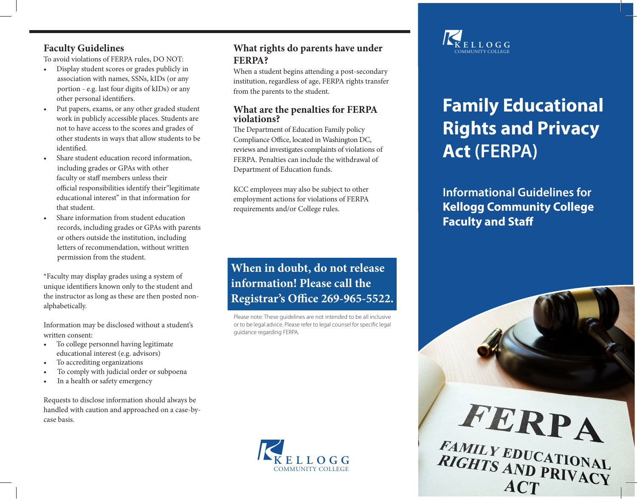#### **Faculty Guidelines**

To avoid violations of FERPA rules, DO NOT:

- Display student scores or grades publicly in association with names, SSNs, kIDs (or any portion - e.g. last four digits of kIDs) or any other personal identifiers.
- Put papers, exams, or any other graded student work in publicly accessible places. Students are not to have access to the scores and grades of other students in ways that allow students to be identified.
- Share student education record information, including grades or GPAs with other faculty or staff members unless their official responsibilities identify their"legitimate educational interest" in that information for that student.
- Share information from student education records, including grades or GPAs with parents or others outside the institution, including letters of recommendation, without written permission from the student.

\*Faculty may display grades using a system of unique identifiers known only to the student and the instructor as long as these are then posted nonalphabetically.

Information may be disclosed without a student's written consent:

- To college personnel having legitimate educational interest (e.g. advisors)
- To accrediting organizations
- To comply with judicial order or subpoena
- In a health or safety emergency

Requests to disclose information should always be handled with caution and approached on a case-bycase basis.

# **What rights do parents have under FERPA?**

When a student begins attending a post-secondary institution, regardless of age, FERPA rights transfer from the parents to the student.

#### **What are the penalties for FERPA violations?**

The Department of Education Family policy Compliance Office, located in Washington DC, reviews and investigates complaints of violations of FERPA. Penalties can include the withdrawal of Department of Education funds.

KCC employees may also be subject to other employment actions for violations of FERPA requirements and/or College rules.

# **When in doubt, do not release information! Please call the Registrar's Office 269-965-5522.**

Please note: These guidelines are not intended to be all inclusive or to be legal advice. Please refer to legal counsel for specific legal guidance regarding FERPA.





# **Family Educational Rights and Privacy Act (FERPA)**

**Informational Guidelines for Kellogg Community College Faculty and Staff**